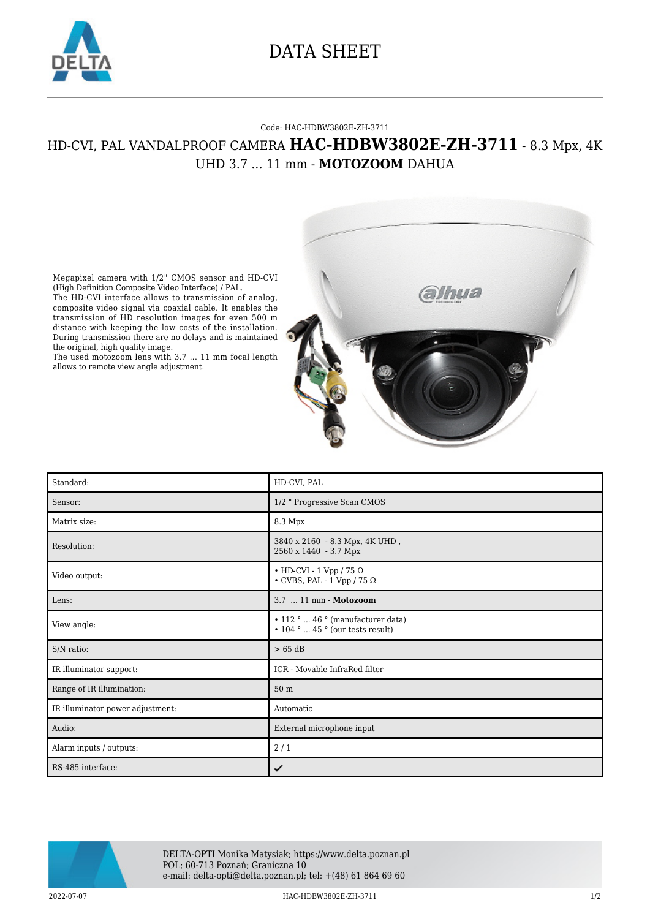

## DATA SHEET

## Code: HAC-HDBW3802E-ZH-3711

## HD-CVI, PAL VANDALPROOF CAMERA **HAC-HDBW3802E-ZH-3711** - 8.3 Mpx, 4K UHD 3.7 ... 11 mm - **MOTOZOOM** DAHUA



Megapixel camera with 1/2" CMOS sensor and HD-CVI (High Definition Composite Video Interface) / PAL.

The HD-CVI interface allows to transmission of analog, composite video signal via coaxial cable. It enables the transmission of HD resolution images for even 500 m distance with keeping the low costs of the installation. During transmission there are no delays and is maintained the original, high quality image.

The used motozoom lens with 3.7 ... 11 mm focal length allows to remote view angle adjustment.

| Standard:                        | HD-CVI, PAL                                                                                      |
|----------------------------------|--------------------------------------------------------------------------------------------------|
| Sensor:                          | 1/2 " Progressive Scan CMOS                                                                      |
| Matrix size:                     | 8.3 Mpx                                                                                          |
| Resolution:                      | 3840 x 2160 - 8.3 Mpx, 4K UHD,<br>2560 x 1440 - 3.7 Mpx                                          |
| Video output:                    | • HD-CVI - 1 Vpp / 75 $\Omega$<br>$\cdot$ CVBS, PAL - 1 Vpp / 75 $\Omega$                        |
| Lens:                            | 3.7  11 mm - Motozoom                                                                            |
| View angle:                      | $\cdot$ 112 °  46 ° (manufacturer data)<br>$\cdot$ 104 $\degree$ 45 $\degree$ (our tests result) |
| S/N ratio:                       | $>65$ dB                                                                                         |
| IR illuminator support:          | ICR - Movable InfraRed filter                                                                    |
| Range of IR illumination:        | 50 <sub>m</sub>                                                                                  |
| IR illuminator power adjustment: | Automatic                                                                                        |
| Audio:                           | External microphone input                                                                        |
| Alarm inputs / outputs:          | 2/1                                                                                              |
| RS-485 interface:                | ✓                                                                                                |



DELTA-OPTI Monika Matysiak; https://www.delta.poznan.pl POL; 60-713 Poznań; Graniczna 10 e-mail: delta-opti@delta.poznan.pl; tel: +(48) 61 864 69 60